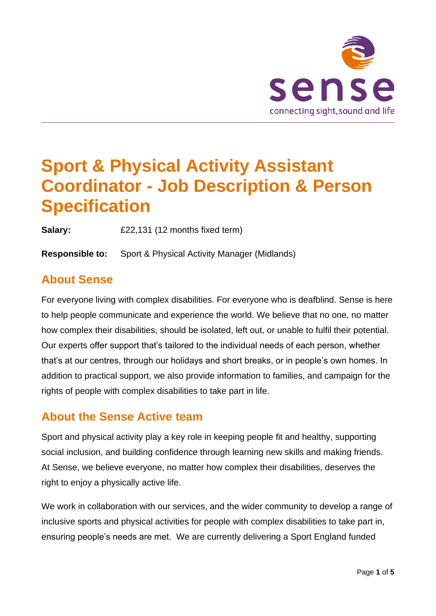

# **Sport & Physical Activity Assistant Coordinator - Job Description & Person Specification**

**Salary:** £22,131 (12 months fixed term)

**Responsible to:** Sport & Physical Activity Manager (Midlands)

## **About Sense**

For everyone living with complex disabilities. For everyone who is deafblind. Sense is here to help people communicate and experience the world. We believe that no one, no matter how complex their disabilities, should be isolated, left out, or unable to fulfil their potential. Our experts offer support that's tailored to the individual needs of each person, whether that's at our centres, through our holidays and short breaks, or in people's own homes. In addition to practical support, we also provide information to families, and campaign for the rights of people with complex disabilities to take part in life.

## **About the Sense Active team**

Sport and physical activity play a key role in keeping people fit and healthy, supporting social inclusion, and building confidence through learning new skills and making friends. At Sense, we believe everyone, no matter how complex their disabilities, deserves the right to enjoy a physically active life.

We work in collaboration with our services, and the wider community to develop a range of inclusive sports and physical activities for people with complex disabilities to take part in, ensuring people's needs are met. We are currently delivering a Sport England funded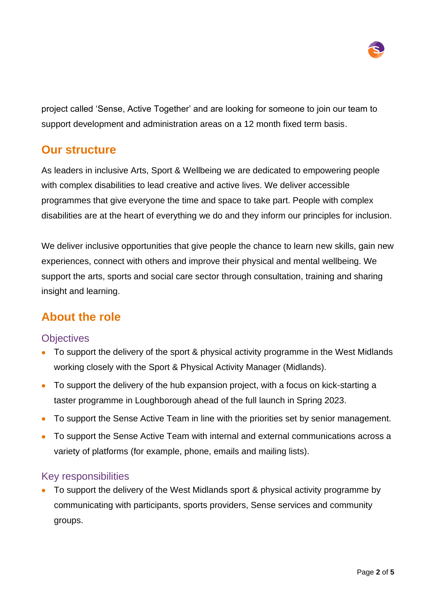

project called 'Sense, Active Together' and are looking for someone to join our team to support development and administration areas on a 12 month fixed term basis.

## **Our structure**

As leaders in inclusive Arts, Sport & Wellbeing we are dedicated to empowering people with complex disabilities to lead creative and active lives. We deliver accessible programmes that give everyone the time and space to take part. People with complex disabilities are at the heart of everything we do and they inform our principles for inclusion.

We deliver inclusive opportunities that give people the chance to learn new skills, gain new experiences, connect with others and improve their physical and mental wellbeing. We support the arts, sports and social care sector through consultation, training and sharing insight and learning.

## **About the role**

#### **Objectives**

- To support the delivery of the sport & physical activity programme in the West Midlands working closely with the Sport & Physical Activity Manager (Midlands).
- To support the delivery of the hub expansion project, with a focus on kick-starting a taster programme in Loughborough ahead of the full launch in Spring 2023.
- To support the Sense Active Team in line with the priorities set by senior management.
- To support the Sense Active Team with internal and external communications across a variety of platforms (for example, phone, emails and mailing lists).

#### Key responsibilities

• To support the delivery of the West Midlands sport & physical activity programme by communicating with participants, sports providers, Sense services and community groups.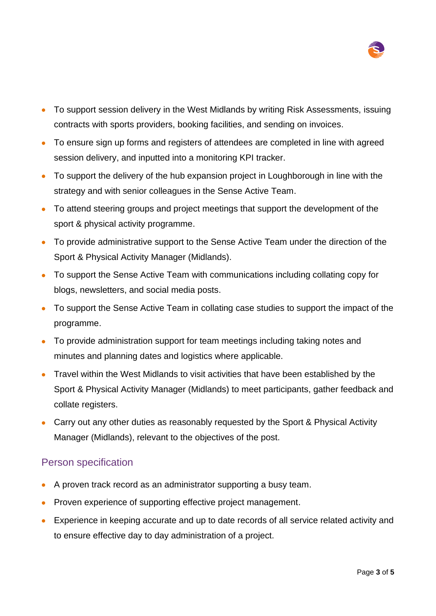

- To support session delivery in the West Midlands by writing Risk Assessments, issuing contracts with sports providers, booking facilities, and sending on invoices.
- To ensure sign up forms and registers of attendees are completed in line with agreed session delivery, and inputted into a monitoring KPI tracker.
- To support the delivery of the hub expansion project in Loughborough in line with the strategy and with senior colleagues in the Sense Active Team.
- To attend steering groups and project meetings that support the development of the sport & physical activity programme.
- To provide administrative support to the Sense Active Team under the direction of the Sport & Physical Activity Manager (Midlands).
- To support the Sense Active Team with communications including collating copy for blogs, newsletters, and social media posts.
- To support the Sense Active Team in collating case studies to support the impact of the programme.
- To provide administration support for team meetings including taking notes and minutes and planning dates and logistics where applicable.
- Travel within the West Midlands to visit activities that have been established by the Sport & Physical Activity Manager (Midlands) to meet participants, gather feedback and collate registers.
- Carry out any other duties as reasonably requested by the Sport & Physical Activity Manager (Midlands), relevant to the objectives of the post.

#### Person specification

- A proven track record as an administrator supporting a busy team.
- Proven experience of supporting effective project management.
- Experience in keeping accurate and up to date records of all service related activity and to ensure effective day to day administration of a project.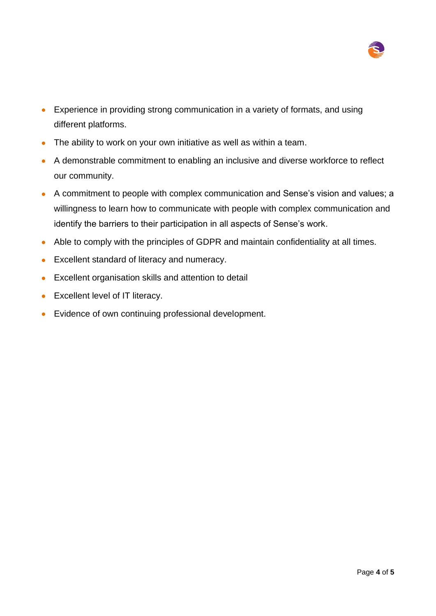

- Experience in providing strong communication in a variety of formats, and using different platforms.
- The ability to work on your own initiative as well as within a team.
- A demonstrable commitment to enabling an inclusive and diverse workforce to reflect our community.
- A commitment to people with complex communication and Sense's vision and values; a willingness to learn how to communicate with people with complex communication and identify the barriers to their participation in all aspects of Sense's work.
- Able to comply with the principles of GDPR and maintain confidentiality at all times.
- Excellent standard of literacy and numeracy.
- Excellent organisation skills and attention to detail
- Excellent level of IT literacy.
- Evidence of own continuing professional development.